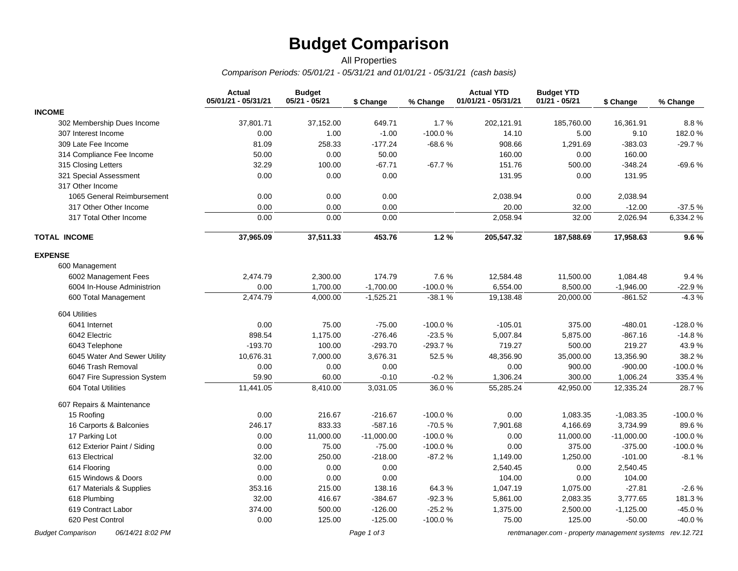# **Budget Comparison**

#### *Comparison Periods: 05/01/21 - 05/31/21 and 01/01/21 - 05/31/21 (cash basis)* All Properties

|                              | <b>Actual</b><br>05/01/21 - 05/31/21 | <b>Budget</b><br>05/21 - 05/21 | \$ Change    | % Change  | <b>Actual YTD</b><br>01/01/21 - 05/31/21 | <b>Budget YTD</b><br>$01/21 - 05/21$ | \$ Change    | % Change  |
|------------------------------|--------------------------------------|--------------------------------|--------------|-----------|------------------------------------------|--------------------------------------|--------------|-----------|
| <b>INCOME</b>                |                                      |                                |              |           |                                          |                                      |              |           |
| 302 Membership Dues Income   | 37,801.71                            | 37,152.00                      | 649.71       | 1.7%      | 202,121.91                               | 185,760.00                           | 16,361.91    | 8.8%      |
| 307 Interest Income          | 0.00                                 | 1.00                           | $-1.00$      | $-100.0%$ | 14.10                                    | 5.00                                 | 9.10         | 182.0%    |
| 309 Late Fee Income          | 81.09                                | 258.33                         | $-177.24$    | $-68.6%$  | 908.66                                   | 1,291.69                             | $-383.03$    | $-29.7%$  |
| 314 Compliance Fee Income    | 50.00                                | 0.00                           | 50.00        |           | 160.00                                   | 0.00                                 | 160.00       |           |
| 315 Closing Letters          | 32.29                                | 100.00                         | $-67.71$     | $-67.7%$  | 151.76                                   | 500.00                               | $-348.24$    | $-69.6%$  |
| 321 Special Assessment       | 0.00                                 | 0.00                           | 0.00         |           | 131.95                                   | 0.00                                 | 131.95       |           |
| 317 Other Income             |                                      |                                |              |           |                                          |                                      |              |           |
| 1065 General Reimbursement   | 0.00                                 | 0.00                           | 0.00         |           | 2,038.94                                 | 0.00                                 | 2,038.94     |           |
| 317 Other Other Income       | 0.00                                 | 0.00                           | 0.00         |           | 20.00                                    | 32.00                                | $-12.00$     | $-37.5%$  |
| 317 Total Other Income       | 0.00                                 | 0.00                           | 0.00         |           | 2,058.94                                 | 32.00                                | 2,026.94     | 6,334.2%  |
| <b>TOTAL INCOME</b>          | 37,965.09                            | 37,511.33                      | 453.76       | 1.2%      | 205,547.32                               | 187,588.69                           | 17,958.63    | 9.6%      |
| <b>EXPENSE</b>               |                                      |                                |              |           |                                          |                                      |              |           |
| 600 Management               |                                      |                                |              |           |                                          |                                      |              |           |
| 6002 Management Fees         | 2,474.79                             | 2,300.00                       | 174.79       | 7.6%      | 12,584.48                                | 11,500.00                            | 1,084.48     | 9.4%      |
| 6004 In-House Administrion   | 0.00                                 | 1,700.00                       | $-1,700.00$  | $-100.0%$ | 6,554.00                                 | 8,500.00                             | $-1,946.00$  | $-22.9%$  |
| 600 Total Management         | 2,474.79                             | 4,000.00                       | $-1,525.21$  | $-38.1%$  | 19,138.48                                | 20,000.00                            | $-861.52$    | $-4.3%$   |
| 604 Utilities                |                                      |                                |              |           |                                          |                                      |              |           |
| 6041 Internet                | 0.00                                 | 75.00                          | $-75.00$     | $-100.0%$ | $-105.01$                                | 375.00                               | $-480.01$    | -128.0%   |
| 6042 Electric                | 898.54                               | 1,175.00                       | $-276.46$    | $-23.5%$  | 5,007.84                                 | 5,875.00                             | $-867.16$    | $-14.8%$  |
| 6043 Telephone               | $-193.70$                            | 100.00                         | $-293.70$    | $-293.7%$ | 719.27                                   | 500.00                               | 219.27       | 43.9%     |
| 6045 Water And Sewer Utility | 10,676.31                            | 7,000.00                       | 3,676.31     | 52.5%     | 48,356.90                                | 35,000.00                            | 13,356.90    | 38.2%     |
| 6046 Trash Removal           | 0.00                                 | 0.00                           | 0.00         |           | 0.00                                     | 900.00                               | $-900.00$    | $-100.0%$ |
| 6047 Fire Supression System  | 59.90                                | 60.00                          | $-0.10$      | $-0.2%$   | 1,306.24                                 | 300.00                               | 1,006.24     | 335.4 %   |
| 604 Total Utilities          | 11,441.05                            | 8,410.00                       | 3,031.05     | 36.0%     | 55,285.24                                | 42,950.00                            | 12,335.24    | 28.7%     |
| 607 Repairs & Maintenance    |                                      |                                |              |           |                                          |                                      |              |           |
| 15 Roofing                   | 0.00                                 | 216.67                         | $-216.67$    | $-100.0%$ | 0.00                                     | 1,083.35                             | $-1,083.35$  | -100.0%   |
| 16 Carports & Balconies      | 246.17                               | 833.33                         | $-587.16$    | $-70.5%$  | 7,901.68                                 | 4,166.69                             | 3,734.99     | 89.6%     |
| 17 Parking Lot               | 0.00                                 | 11,000.00                      | $-11,000.00$ | $-100.0%$ | 0.00                                     | 11,000.00                            | $-11,000.00$ | $-100.0%$ |
| 612 Exterior Paint / Siding  | 0.00                                 | 75.00                          | $-75.00$     | $-100.0%$ | 0.00                                     | 375.00                               | $-375.00$    | $-100.0%$ |
| 613 Electrical               | 32.00                                | 250.00                         | $-218.00$    | $-87.2%$  | 1,149.00                                 | 1,250.00                             | $-101.00$    | $-8.1%$   |
| 614 Flooring                 | 0.00                                 | 0.00                           | 0.00         |           | 2,540.45                                 | 0.00                                 | 2,540.45     |           |
| 615 Windows & Doors          | 0.00                                 | 0.00                           | 0.00         |           | 104.00                                   | 0.00                                 | 104.00       |           |
| 617 Materials & Supplies     | 353.16                               | 215.00                         | 138.16       | 64.3%     | 1,047.19                                 | 1,075.00                             | $-27.81$     | $-2.6%$   |
| 618 Plumbing                 | 32.00                                | 416.67                         | $-384.67$    | $-92.3%$  | 5,861.00                                 | 2,083.35                             | 3,777.65     | 181.3%    |
| 619 Contract Labor           | 374.00                               | 500.00                         | $-126.00$    | $-25.2%$  | 1,375.00                                 | 2,500.00                             | $-1,125.00$  | $-45.0%$  |
| 620 Pest Control             | 0.00                                 | 125.00                         | $-125.00$    | $-100.0%$ | 75.00                                    | 125.00                               | $-50.00$     | -40.0%    |

*Budget Comparison 06/14/21 8:02 PM Page 1 of 3 [rentmanager.com - property management systems rev.12.721](http://www.rentmanager.com)*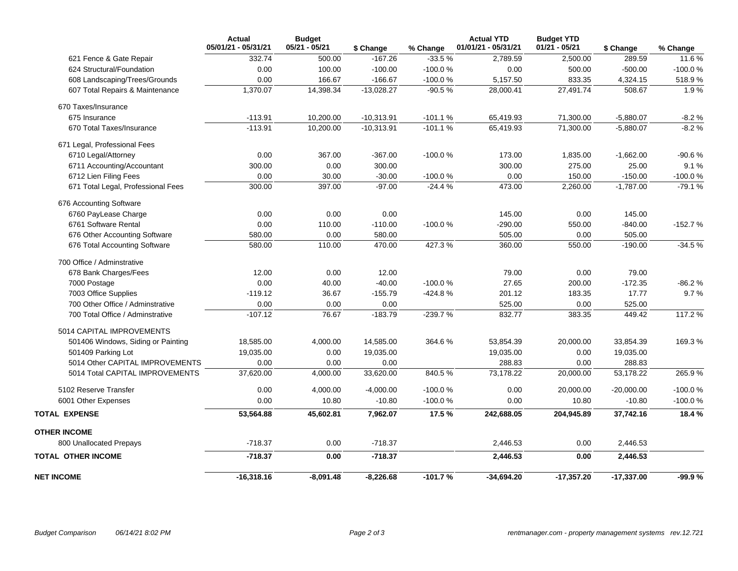|                                    | <b>Actual</b><br>05/01/21 - 05/31/21 | <b>Budget</b><br>05/21 - 05/21 | \$ Change    | % Change  | <b>Actual YTD</b><br>01/01/21 - 05/31/21 | <b>Budget YTD</b><br>$01/21 - 05/21$ | \$ Change    | % Change  |
|------------------------------------|--------------------------------------|--------------------------------|--------------|-----------|------------------------------------------|--------------------------------------|--------------|-----------|
| 621 Fence & Gate Repair            | 332.74                               | 500.00                         | $-167.26$    | $-33.5%$  | 2,789.59                                 | 2,500.00                             | 289.59       | 11.6%     |
| 624 Structural/Foundation          | 0.00                                 | 100.00                         | $-100.00$    | $-100.0%$ | 0.00                                     | 500.00                               | $-500.00$    | $-100.0%$ |
| 608 Landscaping/Trees/Grounds      | 0.00                                 | 166.67                         | $-166.67$    | $-100.0%$ | 5,157.50                                 | 833.35                               | 4,324.15     | 518.9%    |
| 607 Total Repairs & Maintenance    | 1,370.07                             | 14,398.34                      | $-13,028.27$ | $-90.5%$  | 28,000.41                                | 27,491.74                            | 508.67       | 1.9%      |
| 670 Taxes/Insurance                |                                      |                                |              |           |                                          |                                      |              |           |
| 675 Insurance                      | $-113.91$                            | 10,200.00                      | $-10,313.91$ | $-101.1%$ | 65,419.93                                | 71,300.00                            | $-5,880.07$  | $-8.2%$   |
| 670 Total Taxes/Insurance          | $-113.91$                            | 10,200.00                      | $-10,313.91$ | $-101.1%$ | 65,419.93                                | 71,300.00                            | $-5,880.07$  | $-8.2%$   |
| 671 Legal, Professional Fees       |                                      |                                |              |           |                                          |                                      |              |           |
| 6710 Legal/Attorney                | 0.00                                 | 367.00                         | $-367.00$    | $-100.0%$ | 173.00                                   | 1,835.00                             | $-1,662.00$  | -90.6%    |
| 6711 Accounting/Accountant         | 300.00                               | 0.00                           | 300.00       |           | 300.00                                   | 275.00                               | 25.00        | 9.1%      |
| 6712 Lien Filing Fees              | 0.00                                 | 30.00                          | $-30.00$     | $-100.0%$ | 0.00                                     | 150.00                               | $-150.00$    | -100.0%   |
| 671 Total Legal, Professional Fees | 300.00                               | 397.00                         | $-97.00$     | $-24.4%$  | 473.00                                   | 2,260.00                             | $-1,787.00$  | $-79.1%$  |
| 676 Accounting Software            |                                      |                                |              |           |                                          |                                      |              |           |
| 6760 PayLease Charge               | 0.00                                 | 0.00                           | 0.00         |           | 145.00                                   | 0.00                                 | 145.00       |           |
| 6761 Software Rental               | 0.00                                 | 110.00                         | $-110.00$    | $-100.0%$ | $-290.00$                                | 550.00                               | $-840.00$    | $-152.7%$ |
| 676 Other Accounting Software      | 580.00                               | 0.00                           | 580.00       |           | 505.00                                   | 0.00                                 | 505.00       |           |
| 676 Total Accounting Software      | 580.00                               | 110.00                         | 470.00       | 427.3%    | 360.00                                   | 550.00                               | $-190.00$    | $-34.5%$  |
| 700 Office / Adminstrative         |                                      |                                |              |           |                                          |                                      |              |           |
| 678 Bank Charges/Fees              | 12.00                                | 0.00                           | 12.00        |           | 79.00                                    | 0.00                                 | 79.00        |           |
| 7000 Postage                       | 0.00                                 | 40.00                          | $-40.00$     | $-100.0%$ | 27.65                                    | 200.00                               | $-172.35$    | $-86.2%$  |
| 7003 Office Supplies               | $-119.12$                            | 36.67                          | $-155.79$    | -424.8%   | 201.12                                   | 183.35                               | 17.77        | 9.7%      |
| 700 Other Office / Adminstrative   | 0.00                                 | 0.00                           | 0.00         |           | 525.00                                   | 0.00                                 | 525.00       |           |
| 700 Total Office / Adminstrative   | $-107.12$                            | 76.67                          | $-183.79$    | -239.7%   | 832.77                                   | 383.35                               | 449.42       | 117.2 %   |
| 5014 CAPITAL IMPROVEMENTS          |                                      |                                |              |           |                                          |                                      |              |           |
| 501406 Windows, Siding or Painting | 18,585.00                            | 4,000.00                       | 14,585.00    | 364.6%    | 53,854.39                                | 20,000.00                            | 33,854.39    | 169.3%    |
| 501409 Parking Lot                 | 19,035.00                            | 0.00                           | 19,035.00    |           | 19,035.00                                | 0.00                                 | 19,035.00    |           |
| 5014 Other CAPITAL IMPROVEMENTS    | 0.00                                 | 0.00                           | 0.00         |           | 288.83                                   | 0.00                                 | 288.83       |           |
| 5014 Total CAPITAL IMPROVEMENTS    | 37,620.00                            | 4,000.00                       | 33,620.00    | 840.5%    | 73,178.22                                | 20,000.00                            | 53,178.22    | 265.9%    |
| 5102 Reserve Transfer              | 0.00                                 | 4,000.00                       | $-4,000.00$  | $-100.0%$ | 0.00                                     | 20,000.00                            | $-20,000.00$ | $-100.0%$ |
| 6001 Other Expenses                | 0.00                                 | 10.80                          | $-10.80$     | $-100.0%$ | 0.00                                     | 10.80                                | $-10.80$     | -100.0%   |
| <b>TOTAL EXPENSE</b>               | 53,564.88                            | 45,602.81                      | 7,962.07     | 17.5%     | 242,688.05                               | 204,945.89                           | 37,742.16    | 18.4 %    |
| <b>OTHER INCOME</b>                |                                      |                                |              |           |                                          |                                      |              |           |
| 800 Unallocated Prepays            | $-718.37$                            | 0.00                           | $-718.37$    |           | 2,446.53                                 | 0.00                                 | 2,446.53     |           |
| <b>TOTAL OTHER INCOME</b>          | $-718.37$                            | 0.00                           | $-718.37$    |           | 2,446.53                                 | 0.00                                 | 2,446.53     |           |
| <b>NET INCOME</b>                  | $-16,318.16$                         | $-8,091.48$                    | $-8,226.68$  | $-101.7%$ | $-34,694.20$                             | $-17,357.20$                         | $-17,337.00$ | -99.9%    |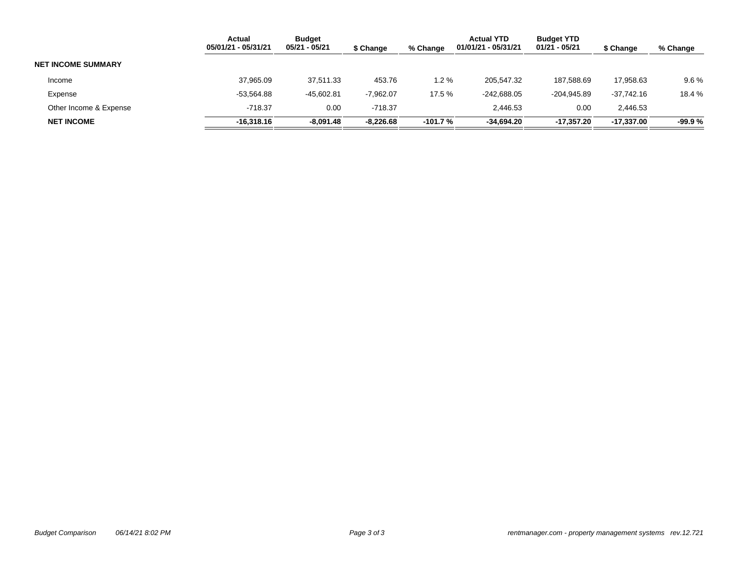|                           | Actual<br>05/01/21 - 05/31/21 | <b>Budget</b><br>05/21 - 05/21 | \$ Change   | % Change | <b>Actual YTD</b><br>01/01/21 - 05/31/21 | <b>Budget YTD</b><br>01/21 - 05/21 | \$ Change    | % Change |
|---------------------------|-------------------------------|--------------------------------|-------------|----------|------------------------------------------|------------------------------------|--------------|----------|
| <b>NET INCOME SUMMARY</b> |                               |                                |             |          |                                          |                                    |              |          |
| Income                    | 37,965.09                     | 37.511.33                      | 453.76      | 1.2 %    | 205.547.32                               | 187.588.69                         | 17.958.63    | $9.6\%$  |
| Expense                   | $-53.564.88$                  | $-45.602.81$                   | $-7.962.07$ | 17.5 %   | $-242.688.05$                            | $-204.945.89$                      | $-37.742.16$ | 18.4 %   |
| Other Income & Expense    | $-718.37$                     | 0.00                           | $-718.37$   |          | 2.446.53                                 | 0.00                               | 2.446.53     |          |
| <b>NET INCOME</b>         | $-16,318.16$                  | $-8,091.48$                    | $-8,226.68$ | -101.7 % | $-34,694.20$                             | -17,357.20                         | -17,337.00   | $-99.9%$ |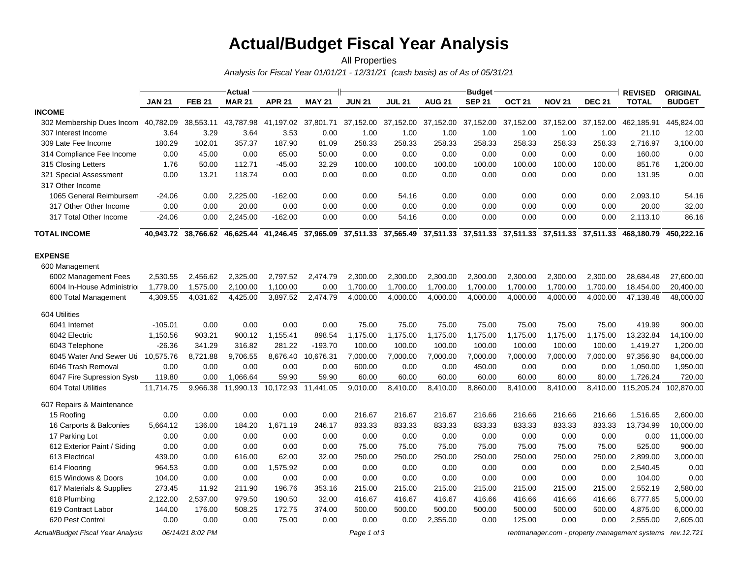# **Actual/Budget Fiscal Year Analysis**

#### *Analysis for Fiscal Year 01/01/21 - 12/31/21 (cash basis) as of As of 05/31/21* All Properties

|                                     |           | Actual              |                               |                     |               |               |               |               | <b>Budget</b>       |                   |               |               | <b>REVISED</b>                                                                                                            | <b>ORIGINAL</b> |
|-------------------------------------|-----------|---------------------|-------------------------------|---------------------|---------------|---------------|---------------|---------------|---------------------|-------------------|---------------|---------------|---------------------------------------------------------------------------------------------------------------------------|-----------------|
|                                     | JAN 21    | <b>FEB 21</b>       | <b>MAR 21</b>                 | <b>APR 21</b>       | <b>MAY 21</b> | <b>JUN 21</b> | <b>JUL 21</b> | <b>AUG 21</b> | <b>SEP 21</b>       | OCT <sub>21</sub> | <b>NOV 21</b> | <b>DEC 21</b> | <b>TOTAL</b>                                                                                                              | <b>BUDGET</b>   |
| <b>INCOME</b>                       |           |                     |                               |                     |               |               |               |               |                     |                   |               |               |                                                                                                                           |                 |
| 302 Membership Dues Incom           | 40,782.09 | 38,553.11           | 43,787.98                     | 41,197.02 37,801.71 |               | 37,152.00     | 37,152.00     |               | 37,152.00 37,152.00 | 37,152.00         | 37,152.00     | 37,152.00     | 462,185.91                                                                                                                | 445,824.00      |
| 307 Interest Income                 | 3.64      | 3.29                | 3.64                          | 3.53                | 0.00          | 1.00          | 1.00          | 1.00          | 1.00                | 1.00              | 1.00          | 1.00          | 21.10                                                                                                                     | 12.00           |
| 309 Late Fee Income                 | 180.29    | 102.01              | 357.37                        | 187.90              | 81.09         | 258.33        | 258.33        | 258.33        | 258.33              | 258.33            | 258.33        | 258.33        | 2,716.97                                                                                                                  | 3,100.00        |
| 314 Compliance Fee Income           | 0.00      | 45.00               | 0.00                          | 65.00               | 50.00         | 0.00          | 0.00          | 0.00          | 0.00                | 0.00              | 0.00          | 0.00          | 160.00                                                                                                                    | 0.00            |
| 315 Closing Letters                 | 1.76      | 50.00               | 112.71                        | $-45.00$            | 32.29         | 100.00        | 100.00        | 100.00        | 100.00              | 100.00            | 100.00        | 100.00        | 851.76                                                                                                                    | 1,200.00        |
| 321 Special Assessment              | 0.00      | 13.21               | 118.74                        | 0.00                | 0.00          | 0.00          | 0.00          | 0.00          | 0.00                | 0.00              | 0.00          | 0.00          | 131.95                                                                                                                    | 0.00            |
| 317 Other Income                    |           |                     |                               |                     |               |               |               |               |                     |                   |               |               |                                                                                                                           |                 |
| 1065 General Reimbursem             | $-24.06$  | 0.00                | 2,225.00                      | $-162.00$           | 0.00          | 0.00          | 54.16         | 0.00          | 0.00                | 0.00              | 0.00          | 0.00          | 2,093.10                                                                                                                  | 54.16           |
| 317 Other Other Income              | 0.00      | 0.00                | 20.00                         | 0.00                | 0.00          | 0.00          | 0.00          | 0.00          | 0.00                | 0.00              | 0.00          | 0.00          | 20.00                                                                                                                     | 32.00           |
| 317 Total Other Income              | $-24.06$  | 0.00                | 2,245.00                      | $-162.00$           | 0.00          | 0.00          | 54.16         | 0.00          | 0.00                | 0.00              | 0.00          | 0.00          | 2,113.10                                                                                                                  | 86.16           |
| <b>TOTAL INCOME</b>                 |           | 40.943.72 38.766.62 |                               |                     |               |               |               |               |                     |                   |               |               | 46,625.44 41,246.45 37,965.09 37,511.33 37,565.49 37,511.33 37,511.33 37,511.33 37,511.33 37,511.33 468,180.79 450,222.16 |                 |
| <b>EXPENSE</b>                      |           |                     |                               |                     |               |               |               |               |                     |                   |               |               |                                                                                                                           |                 |
| 600 Management                      |           |                     |                               |                     |               |               |               |               |                     |                   |               |               |                                                                                                                           |                 |
| 6002 Management Fees                | 2,530.55  | 2,456.62            | 2,325.00                      | 2,797.52            | 2,474.79      | 2,300.00      | 2,300.00      | 2,300.00      | 2,300.00            | 2,300.00          | 2,300.00      | 2,300.00      | 28,684.48                                                                                                                 | 27,600.00       |
| 6004 In-House Administrior          | 1,779.00  | 1,575.00            | 2,100.00                      | 1,100.00            | 0.00          | 1,700.00      | 1,700.00      | 1,700.00      | 1,700.00            | 1,700.00          | 1,700.00      | 1,700.00      | 18,454.00                                                                                                                 | 20,400.00       |
| 600 Total Management                | 4,309.55  | 4,031.62            | 4,425.00                      | 3,897.52            | 2,474.79      | 4,000.00      | 4,000.00      | 4,000.00      | 4,000.00            | 4,000.00          | 4,000.00      | 4,000.00      | 47,138.48                                                                                                                 | 48,000.00       |
| 604 Utilities                       |           |                     |                               |                     |               |               |               |               |                     |                   |               |               |                                                                                                                           |                 |
| 6041 Internet                       | $-105.01$ | 0.00                | 0.00                          | 0.00                | 0.00          | 75.00         | 75.00         | 75.00         | 75.00               | 75.00             | 75.00         | 75.00         | 419.99                                                                                                                    | 900.00          |
| 6042 Electric                       | 1,150.56  | 903.21              | 900.12                        | 1,155.41            | 898.54        | 1,175.00      | 1,175.00      | 1,175.00      | 1,175.00            | 1,175.00          | 1,175.00      | 1,175.00      | 13,232.84                                                                                                                 | 14,100.00       |
| 6043 Telephone                      | $-26.36$  | 341.29              | 316.82                        | 281.22              | $-193.70$     | 100.00        | 100.00        | 100.00        | 100.00              | 100.00            | 100.00        | 100.00        | 1,419.27                                                                                                                  | 1,200.00        |
| 6045 Water And Sewer Util 10,575.76 |           | 8,721.88            | 9,706.55                      | 8,676.40            | 10,676.31     | 7,000.00      | 7,000.00      | 7,000.00      | 7,000.00            | 7,000.00          | 7,000.00      | 7,000.00      | 97,356.90                                                                                                                 | 84,000.00       |
| 6046 Trash Removal                  | 0.00      | 0.00                | 0.00                          | 0.00                | 0.00          | 600.00        | 0.00          | 0.00          | 450.00              | 0.00              | 0.00          | 0.00          | 1,050.00                                                                                                                  | 1,950.00        |
| 6047 Fire Supression Syste          | 119.80    | 0.00                | 1,066.64                      | 59.90               | 59.90         | 60.00         | 60.00         | 60.00         | 60.00               | 60.00             | 60.00         | 60.00         | 1,726.24                                                                                                                  | 720.00          |
| 604 Total Utilities                 | 11,714.75 | 9,966.38            | 11,990.13 10,172.93 11,441.05 |                     |               | 9,010.00      | 8,410.00      | 8,410.00      | 8,860.00            | 8,410.00          | 8,410.00      |               | 8,410.00 115,205.24                                                                                                       | 102,870.00      |
| 607 Repairs & Maintenance           |           |                     |                               |                     |               |               |               |               |                     |                   |               |               |                                                                                                                           |                 |
| 15 Roofing                          | 0.00      | 0.00                | 0.00                          | 0.00                | 0.00          | 216.67        | 216.67        | 216.67        | 216.66              | 216.66            | 216.66        | 216.66        | 1,516.65                                                                                                                  | 2,600.00        |
| 16 Carports & Balconies             | 5,664.12  | 136.00              | 184.20                        | 1,671.19            | 246.17        | 833.33        | 833.33        | 833.33        | 833.33              | 833.33            | 833.33        | 833.33        | 13,734.99                                                                                                                 | 10,000.00       |
| 17 Parking Lot                      | 0.00      | 0.00                | 0.00                          | 0.00                | 0.00          | 0.00          | 0.00          | 0.00          | 0.00                | 0.00              | 0.00          | 0.00          | 0.00                                                                                                                      | 11,000.00       |
| 612 Exterior Paint / Siding         | 0.00      | 0.00                | 0.00                          | 0.00                | 0.00          | 75.00         | 75.00         | 75.00         | 75.00               | 75.00             | 75.00         | 75.00         | 525.00                                                                                                                    | 900.00          |
| 613 Electrical                      | 439.00    | 0.00                | 616.00                        | 62.00               | 32.00         | 250.00        | 250.00        | 250.00        | 250.00              | 250.00            | 250.00        | 250.00        | 2,899.00                                                                                                                  | 3,000.00        |
| 614 Flooring                        | 964.53    | 0.00                | 0.00                          | 1,575.92            | 0.00          | 0.00          | 0.00          | 0.00          | 0.00                | 0.00              | 0.00          | 0.00          | 2,540.45                                                                                                                  | 0.00            |
| 615 Windows & Doors                 | 104.00    | 0.00                | 0.00                          | 0.00                | 0.00          | 0.00          | 0.00          | 0.00          | 0.00                | 0.00              | 0.00          | 0.00          | 104.00                                                                                                                    | 0.00            |
| 617 Materials & Supplies            | 273.45    | 11.92               | 211.90                        | 196.76              | 353.16        | 215.00        | 215.00        | 215.00        | 215.00              | 215.00            | 215.00        | 215.00        | 2,552.19                                                                                                                  | 2,580.00        |
| 618 Plumbing                        | 2,122.00  | 2,537.00            | 979.50                        | 190.50              | 32.00         | 416.67        | 416.67        | 416.67        | 416.66              | 416.66            | 416.66        | 416.66        | 8,777.65                                                                                                                  | 5,000.00        |
| 619 Contract Labor                  | 144.00    | 176.00              | 508.25                        | 172.75              | 374.00        | 500.00        | 500.00        | 500.00        | 500.00              | 500.00            | 500.00        | 500.00        | 4,875.00                                                                                                                  | 6,000.00        |
| 620 Pest Control                    | 0.00      | 0.00                | 0.00                          | 75.00               | 0.00          | 0.00          | 0.00          | 2,355.00      | 0.00                | 125.00            | 0.00          | 0.00          | 2,555.00                                                                                                                  | 2,605.00        |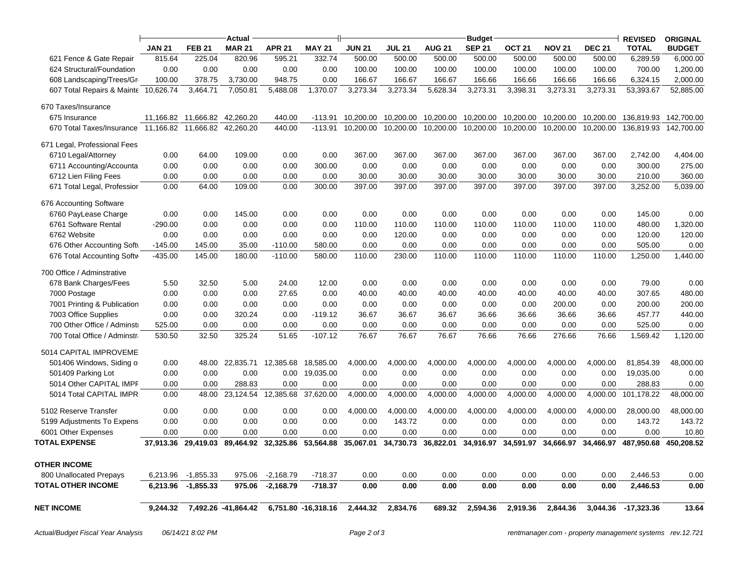|                                                         |               |                                 | Actual                    |               |                     |               |               |               | <b>Budget</b> |                   |               |               | <b>REVISED</b>                                                                                                                                | <b>ORIGINAL</b>       |
|---------------------------------------------------------|---------------|---------------------------------|---------------------------|---------------|---------------------|---------------|---------------|---------------|---------------|-------------------|---------------|---------------|-----------------------------------------------------------------------------------------------------------------------------------------------|-----------------------|
|                                                         | <b>JAN 21</b> | <b>FEB 21</b>                   | <b>MAR 21</b>             | <b>APR 21</b> | <b>MAY 21</b>       | <b>JUN 21</b> | <b>JUL 21</b> | <b>AUG 21</b> | <b>SEP 21</b> | OCT <sub>21</sub> | <b>NOV 21</b> | <b>DEC 21</b> | <b>TOTAL</b>                                                                                                                                  | <b>BUDGET</b>         |
| 621 Fence & Gate Repair                                 | 815.64        | 225.04                          | 820.96                    | 595.21        | 332.74              | 500.00        | 500.00        | 500.00        | 500.00        | 500.00            | 500.00        | 500.00        | 6,289.59                                                                                                                                      | 6,000.00              |
| 624 Structural/Foundation                               | 0.00          | 0.00                            | 0.00                      | 0.00          | 0.00                | 100.00        | 100.00        | 100.00        | 100.00        | 100.00            | 100.00        | 100.00        | 700.00                                                                                                                                        | 1,200.00              |
| 608 Landscaping/Trees/Gr                                | 100.00        | 378.75                          | 3,730.00                  | 948.75        | 0.00                | 166.67        | 166.67        | 166.67        | 166.66        | 166.66            | 166.66        | 166.66        | 6,324.15                                                                                                                                      | 2,000.00              |
| 607 Total Repairs & Mainte 10,626.74                    |               | 3,464.71                        | 7,050.81                  | 5,488.08      | 1,370.07            | 3,273.34      | 3,273.34      | 5,628.34      | 3,273.31      | 3,398.31          | 3,273.31      | 3,273.31      | 53,393.67                                                                                                                                     | 52,885.00             |
| 670 Taxes/Insurance                                     |               |                                 |                           |               |                     |               |               |               |               |                   |               |               |                                                                                                                                               |                       |
| 675 Insurance                                           |               | 11,166.82  11,666.82  42,260.20 |                           | 440.00        | $-113.91$           | 10.200.00     | 10,200.00     | 10,200.00     | 10,200.00     | 10,200.00         | 10,200.00     | 10.200.00     |                                                                                                                                               | 136,819.93 142,700.00 |
| 670 Total Taxes/Insurance 11,166.82 11,666.82 42,260.20 |               |                                 |                           | 440.00        | $-113.91$           | 10.200.00     | 10,200.00     | 10,200.00     | 10,200.00     | 10,200.00         | 10,200.00     | 10.200.00     | 136,819.93 142,700.00                                                                                                                         |                       |
| 671 Legal, Professional Fees                            |               |                                 |                           |               |                     |               |               |               |               |                   |               |               |                                                                                                                                               |                       |
| 6710 Legal/Attorney                                     | 0.00          | 64.00                           | 109.00                    | 0.00          | 0.00                | 367.00        | 367.00        | 367.00        | 367.00        | 367.00            | 367.00        | 367.00        | 2,742.00                                                                                                                                      | 4,404.00              |
| 6711 Accounting/Accounta                                | 0.00          | 0.00                            | 0.00                      | 0.00          | 300.00              | 0.00          | 0.00          | 0.00          | 0.00          | 0.00              | 0.00          | 0.00          | 300.00                                                                                                                                        | 275.00                |
| 6712 Lien Filing Fees                                   | 0.00          | 0.00                            | 0.00                      | 0.00          | 0.00                | 30.00         | 30.00         | 30.00         | 30.00         | 30.00             | 30.00         | 30.00         | 210.00                                                                                                                                        | 360.00                |
| 671 Total Legal, Professior                             | 0.00          | 64.00                           | 109.00                    | 0.00          | 300.00              | 397.00        | 397.00        | 397.00        | 397.00        | 397.00            | 397.00        | 397.00        | 3,252.00                                                                                                                                      | 5,039.00              |
| 676 Accounting Software                                 |               |                                 |                           |               |                     |               |               |               |               |                   |               |               |                                                                                                                                               |                       |
| 6760 PayLease Charge                                    | 0.00          | 0.00                            | 145.00                    | 0.00          | 0.00                | 0.00          | 0.00          | 0.00          | 0.00          | 0.00              | 0.00          | 0.00          | 145.00                                                                                                                                        | 0.00                  |
| 6761 Software Rental                                    | $-290.00$     | 0.00                            | 0.00                      | 0.00          | 0.00                | 110.00        | 110.00        | 110.00        | 110.00        | 110.00            | 110.00        | 110.00        | 480.00                                                                                                                                        | 1,320.00              |
| 6762 Website                                            | 0.00          | 0.00                            | 0.00                      | 0.00          | 0.00                | 0.00          | 120.00        | 0.00          | 0.00          | 0.00              | 0.00          | 0.00          | 120.00                                                                                                                                        | 120.00                |
| 676 Other Accounting Soft                               | $-145.00$     | 145.00                          | 35.00                     | $-110.00$     | 580.00              | 0.00          | 0.00          | 0.00          | 0.00          | 0.00              | 0.00          | 0.00          | 505.00                                                                                                                                        | 0.00                  |
| 676 Total Accounting Softw                              | $-435.00$     | 145.00                          | 180.00                    | $-110.00$     | 580.00              | 110.00        | 230.00        | 110.00        | 110.00        | 110.00            | 110.00        | 110.00        | 1,250.00                                                                                                                                      | 1,440.00              |
| 700 Office / Adminstrative                              |               |                                 |                           |               |                     |               |               |               |               |                   |               |               |                                                                                                                                               |                       |
| 678 Bank Charges/Fees                                   | 5.50          | 32.50                           | 5.00                      | 24.00         | 12.00               | 0.00          | 0.00          | 0.00          | 0.00          | 0.00              | 0.00          | 0.00          | 79.00                                                                                                                                         | 0.00                  |
| 7000 Postage                                            | 0.00          | 0.00                            | 0.00                      | 27.65         | 0.00                | 40.00         | 40.00         | 40.00         | 40.00         | 40.00             | 40.00         | 40.00         | 307.65                                                                                                                                        | 480.00                |
| 7001 Printing & Publication                             | 0.00          | 0.00                            | 0.00                      | 0.00          | 0.00                | 0.00          | 0.00          | 0.00          | 0.00          | 0.00              | 200.00        | 0.00          | 200.00                                                                                                                                        | 200.00                |
| 7003 Office Supplies                                    | 0.00          | 0.00                            | 320.24                    | 0.00          | $-119.12$           | 36.67         | 36.67         | 36.67         | 36.66         | 36.66             | 36.66         | 36.66         | 457.77                                                                                                                                        | 440.00                |
| 700 Other Office / Adminstr                             | 525.00        | 0.00                            | 0.00                      | 0.00          | 0.00                | 0.00          | 0.00          | 0.00          | 0.00          | 0.00              | 0.00          | 0.00          | 525.00                                                                                                                                        | 0.00                  |
| 700 Total Office / Adminstra                            | 530.50        | 32.50                           | 325.24                    | 51.65         | $-107.12$           | 76.67         | 76.67         | 76.67         | 76.66         | 76.66             | 276.66        | 76.66         | 1,569.42                                                                                                                                      | 1,120.00              |
| 5014 CAPITAL IMPROVEME                                  |               |                                 |                           |               |                     |               |               |               |               |                   |               |               |                                                                                                                                               |                       |
| 501406 Windows, Siding or                               | 0.00          |                                 | 48.00 22,835.71 12,385.68 |               | 18,585.00           | 4,000.00      | 4,000.00      | 4,000.00      | 4,000.00      | 4,000.00          | 4,000.00      | 4,000.00      | 81,854.39                                                                                                                                     | 48,000.00             |
| 501409 Parking Lot                                      | 0.00          | 0.00                            | 0.00                      | 0.00          | 19,035.00           | 0.00          | 0.00          | 0.00          | 0.00          | 0.00              | 0.00          | 0.00          | 19,035.00                                                                                                                                     | 0.00                  |
| 5014 Other CAPITAL IMPF                                 | 0.00          | 0.00                            | 288.83                    | 0.00          | 0.00                | 0.00          | 0.00          | 0.00          | 0.00          | 0.00              | 0.00          | 0.00          | 288.83                                                                                                                                        | 0.00                  |
| 5014 Total CAPITAL IMPR                                 | 0.00          | 48.00                           | 23,124.54                 | 12,385.68     | 37,620.00           | 4,000.00      | 4,000.00      | 4,000.00      | 4,000.00      | 4,000.00          | 4,000.00      | 4,000.00      | 101,178.22                                                                                                                                    | 48,000.00             |
| 5102 Reserve Transfer                                   | 0.00          | 0.00                            | 0.00                      | 0.00          | 0.00                | 4,000.00      | 4,000.00      | 4,000.00      | 4,000.00      | 4,000.00          | 4,000.00      | 4,000.00      | 28,000.00                                                                                                                                     | 48,000.00             |
| 5199 Adjustments To Expens                              | 0.00          | 0.00                            | 0.00                      | 0.00          | 0.00                | 0.00          | 143.72        | 0.00          | 0.00          | 0.00              | 0.00          | 0.00          | 143.72                                                                                                                                        | 143.72                |
| 6001 Other Expenses                                     | 0.00          | 0.00                            | 0.00                      | 0.00          | 0.00                | 0.00          | 0.00          | 0.00          | 0.00          | 0.00              | 0.00          | 0.00          | 0.00                                                                                                                                          | 10.80                 |
| <b>TOTAL EXPENSE</b>                                    |               |                                 |                           |               |                     |               |               |               |               |                   |               |               | 37,913.36 29,419.03 89,464.92 32,325.86 53,564.88 35,067.01 34,730.73 36,822.01 34,916.97 34,591.97 34,666.97 34,466.97 487,950.68 450,208.52 |                       |
| <b>OTHER INCOME</b>                                     |               |                                 |                           |               |                     |               |               |               |               |                   |               |               |                                                                                                                                               |                       |
| 800 Unallocated Prepays                                 | 6,213.96      | $-1,855.33$                     | 975.06                    | $-2,168.79$   | $-718.37$           | 0.00          | 0.00          | 0.00          | 0.00          | 0.00              | 0.00          | 0.00          | 2,446.53                                                                                                                                      | 0.00                  |
| <b>TOTAL OTHER INCOME</b>                               | 6,213.96      | $-1,855.33$                     | 975.06                    | $-2,168.79$   | $-718.37$           | 0.00          | 0.00          | 0.00          | 0.00          | 0.00              | 0.00          | 0.00          | 2,446.53                                                                                                                                      | 0.00                  |
|                                                         |               |                                 |                           |               |                     |               |               |               |               |                   |               |               |                                                                                                                                               |                       |
| <b>NET INCOME</b>                                       | 9,244.32      |                                 | 7,492.26 -41,864.42       |               | 6,751.80 -16,318.16 | 2,444.32      | 2,834.76      | 689.32        | 2,594.36      | 2,919.36          | 2,844.36      | 3,044.36      | $-17,323.36$                                                                                                                                  | 13.64                 |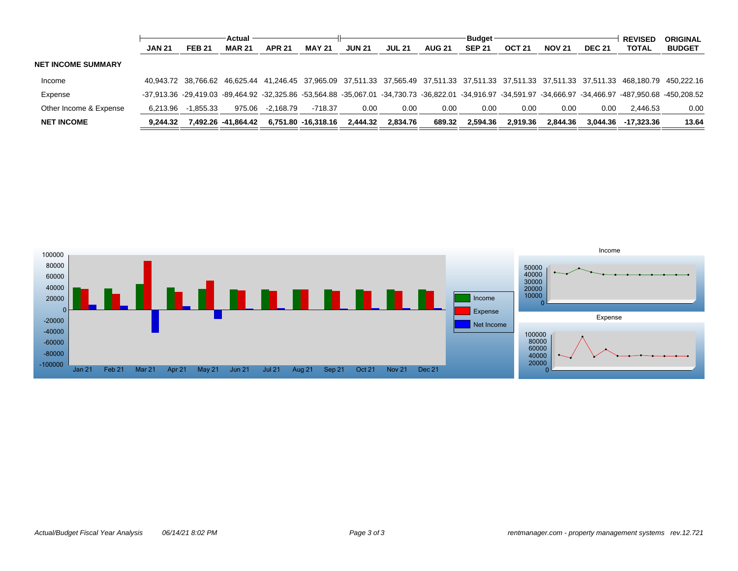|                           | Actual        |               |                     | <b>Budget</b> |                     |               |               |               |               | <b>REVISED</b> | <b>ORIGINAL</b> |               |                     |                                                                                                                                                             |
|---------------------------|---------------|---------------|---------------------|---------------|---------------------|---------------|---------------|---------------|---------------|----------------|-----------------|---------------|---------------------|-------------------------------------------------------------------------------------------------------------------------------------------------------------|
|                           | <b>JAN 21</b> | <b>FEB 21</b> | <b>MAR 21</b>       | <b>APR 21</b> | <b>MAY 21</b>       | <b>JUN 21</b> | <b>JUL 21</b> | <b>AUG 21</b> | <b>SEP 21</b> | <b>OCT 21</b>  | <b>NOV 21</b>   | <b>DEC 21</b> | <b>TOTAL</b>        | <b>BUDGET</b>                                                                                                                                               |
| <b>NET INCOME SUMMARY</b> |               |               |                     |               |                     |               |               |               |               |                |                 |               |                     |                                                                                                                                                             |
| Income                    |               |               |                     |               |                     |               |               |               |               |                |                 |               |                     | 40,943.72 38.766.62 46.625.44 41.246.45 37,965.09 37,511.33 37,565.49 37,511.33 37,511.33 37,511.33 37,511.33 37,511.33 468,180.79 450,222.16               |
| Expense                   |               |               |                     |               |                     |               |               |               |               |                |                 |               |                     | -37,913.36 -29,419.03 -89,464.92 -32,325.86 -53,564.88 -35,067.01 -34,730.73 -36,822.01 -34,916.97 -34,591.97 -34,666.97 -34,466.97 -487,950.68 -450,208.52 |
| Other Income & Expense    | 6.213.96      | $-1.855.33$   | 975.06              | -2.168.79     | $-718.37$           | 0.00          | 0.00          | 0.00          | 0.00          | 0.00           | 0.00            | 0.00          | 2.446.53            | 0.00                                                                                                                                                        |
| <b>NET INCOME</b>         | 9.244.32      |               | 7.492.26 -41.864.42 |               | 6.751.80 -16.318.16 | 2.444.32      | 2.834.76      | 689.32        | 2.594.36      | 2.919.36       | 2.844.36        |               | 3.044.36 -17.323.36 | 13.64                                                                                                                                                       |

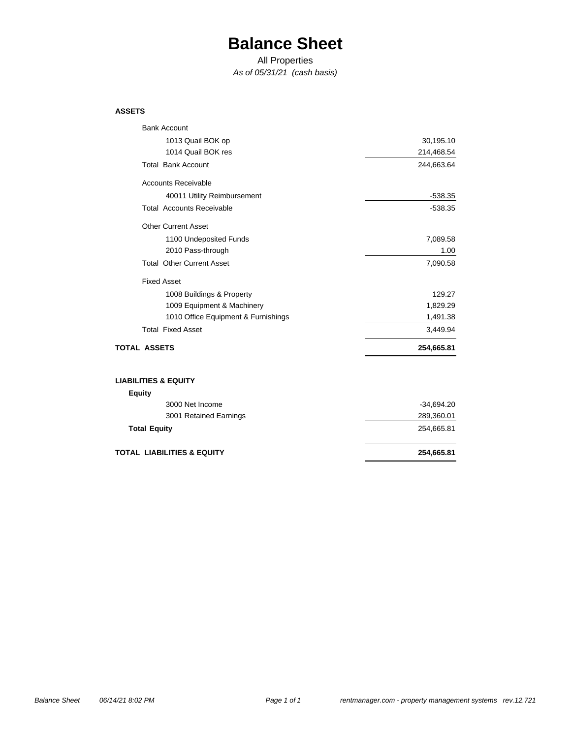## **Balance Sheet**

All Properties

*As of 05/31/21 (cash basis)*

#### **ASSETS**

| <b>Bank Account</b>                   |              |
|---------------------------------------|--------------|
| 1013 Quail BOK op                     | 30,195.10    |
| 1014 Quail BOK res                    | 214,468.54   |
| <b>Total Bank Account</b>             | 244,663.64   |
| <b>Accounts Receivable</b>            |              |
| 40011 Utility Reimbursement           | $-538.35$    |
| <b>Total Accounts Receivable</b>      | $-538.35$    |
| <b>Other Current Asset</b>            |              |
| 1100 Undeposited Funds                | 7,089.58     |
| 2010 Pass-through                     | 1.00         |
| <b>Total Other Current Asset</b>      | 7,090.58     |
| <b>Fixed Asset</b>                    |              |
| 1008 Buildings & Property             | 129.27       |
| 1009 Equipment & Machinery            | 1,829.29     |
| 1010 Office Equipment & Furnishings   | 1,491.38     |
| <b>Total Fixed Asset</b>              | 3,449.94     |
| <b>TOTAL ASSETS</b>                   | 254,665.81   |
| <b>LIABILITIES &amp; EQUITY</b>       |              |
| <b>Equity</b>                         |              |
| 3000 Net Income                       | $-34,694.20$ |
| 3001 Retained Earnings                | 289,360.01   |
| <b>Total Equity</b>                   | 254,665.81   |
| <b>TOTAL LIABILITIES &amp; EQUITY</b> | 254,665.81   |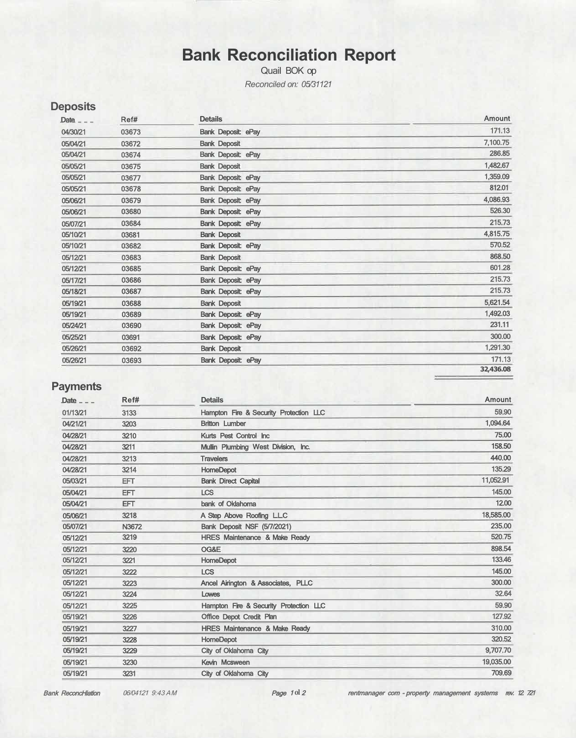## **Bank Reconciliation Report**

Quail BOK op *Reconciled on: 05/31121* 

| Date $ -$ | Ref#  | <b>Details</b>            | <b>Amount</b> |
|-----------|-------|---------------------------|---------------|
| 04/30/21  | 03673 | <b>Bank Deposit: ePay</b> | 171.13        |
| 05/04/21  | 03672 | <b>Bank Deposit</b>       | 7,100.75      |
| 05/04/21  | 03674 | Bank Deposit: ePay        | 286,85        |
| 05/05/21  | 03675 | <b>Bank Deposit</b>       | 1,482.67      |
| 05/05/21  | 03677 | <b>Bank Deposit ePay</b>  | 1,359.09      |
| 05/05/21  | 03678 | <b>Bank Deposit ePay</b>  | 812.01        |
| 05/06/21  | 03679 | <b>Bank Deposit ePay</b>  | 4,086.93      |
| 05/06/21  | 03680 | <b>Bank Deposit ePay</b>  | 526.30        |
| 05/07/21  | 03684 | <b>Bank Deposit ePay</b>  | 215.73        |
| 05/10/21  | 03681 | <b>Bank Deposit</b>       | 4,815.75      |
| 05/10/21  | 03682 | <b>Bank Deposit: ePay</b> | 570.52        |
| 05/12/21  | 03683 | <b>Bank Deposit</b>       | 868.50        |
| 05/12/21  | 03685 | <b>Bank Deposit: ePay</b> | 601.28        |
| 05/17/21  | 03686 | <b>Bank Deposit ePay</b>  | 215.73        |
| 05/18/21  | 03687 | <b>Bank Deposit ePay</b>  | 215.73        |
| 05/19/21  | 03688 | <b>Bank Deposit</b>       | 5,621.54      |
| 05/19/21  | 03689 | <b>Bank Deposit: ePay</b> | 1,492.03      |
| 05/24/21  | 03690 | <b>Bank Deposit: ePay</b> | 231.11        |
| 05/25/21  | 03691 | <b>Bank Deposit: ePay</b> | 300.00        |
| 05/26/21  | 03692 | <b>Bank Deposit</b>       | 1,291.30      |
| 05/26/21  | 03693 | <b>Bank Deposit: ePay</b> | 171.13        |
|           |       |                           | 32,436.08     |

## **Payments**

**Deposits** 

| Date $ -$ | Ref#       | <b>Details</b>                           | <b>Amount</b> |
|-----------|------------|------------------------------------------|---------------|
| 01/13/21  | 3133       | Hampton Fire & Security Protection LLC   | 59,90         |
| 04/21/21  | 3203       | <b>Britton Lumber</b>                    | 1,094.64      |
| 04/28/21  | 3210       | Kurts Pest Control Inc.                  | 75.00         |
| 04/28/21  | 3211       | Mullin Plumbing West Division, Inc.      | 158.50        |
| 04/28/21  | 3213       | <b>Travelers</b>                         | 440.00        |
| 04/28/21  | 3214       | <b>HomeDepot</b>                         | 135.29        |
| 05/03/21  | <b>EFT</b> | <b>Bank Direct Capital</b>               | 11,052.91     |
| 05/04/21  | <b>EFT</b> | <b>LCS</b>                               | 145.00        |
| 05/04/21  | <b>EFT</b> | bank of Oklahoma                         | 12.00         |
| 05/06/21  | 3218       | A Step Above Roofing L.L.C               | 18,585.00     |
| 05/07/21  | N3672      | Bank Deposit NSF (5/7/2021)              | 235.00        |
| 05/12/21  | 3219       | <b>HRES Maintenance &amp; Make Ready</b> | 520.75        |
| 05/12/21  | 3220       | OG&E                                     | 898.54        |
| 05/12/21  | 3221       | <b>HomeDepot</b>                         | 133.46        |
| 05/12/21  | 3222       | <b>LCS</b>                               | 145.00        |
| 05/12/21  | 3223       | Ancel Airington & Associates, PLLC       | 300,00        |
| 05/12/21  | 3224       | Lowes                                    | 32.64         |
| 05/12/21  | 3225       | Hampton Fire & Security Protection LLC   | 59.90         |
| 05/19/21  | 3226       | Office Depot Credit Plan                 | 127.92        |
| 05/19/21  | 3227       | <b>HRES Maintenance &amp; Make Ready</b> | 310.00        |
| 05/19/21  | 3228       | <b>HomeDepot</b>                         | 320.52        |
| 05/19/21  | 3229       | City of Oklahoma City                    | 9,707.70      |
| 05/19/21  | 3230       | Kevin Mcsween                            | 19,035.00     |
| 05/19/21  | 3231       | City of Oklahoma City                    | 709.69        |

Bank ReconcHiation 06/04121 9:43 AM

rentmanager com - property management systems rev. 12 721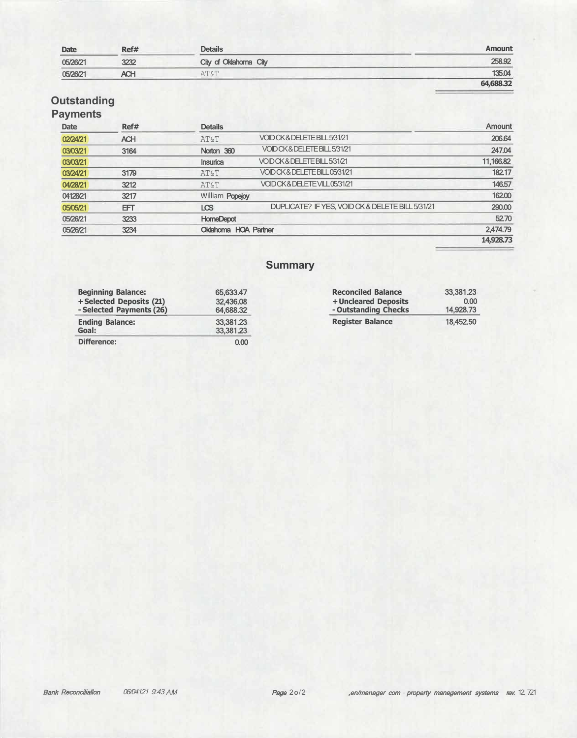| <b>Date</b> | Ref# | <b>Details</b>        | <b>Amount</b> |
|-------------|------|-----------------------|---------------|
| 05/26/21    | 3232 | City of Oklahoma City | 258.92        |
| 05/26/21    | ACH  | AT&T                  | 135.04        |
|             |      |                       | 64,688.32     |

## **Outstanding**

## **Payments**

| <b>Date</b> | Ref#       | <b>Details</b>              |                                                  | <b>Amount</b> |
|-------------|------------|-----------------------------|--------------------------------------------------|---------------|
| 02/24/21    | <b>ACH</b> | <b>AT&amp;T</b>             | VOID CK& DELETE BILL 5/31/21                     | 206.64        |
| 03/03/21    | 3164       | Norton 360                  | VOID CK& DELETE BILL 5/31/21                     | 247.04        |
| 03/03/21    |            | <b>Insurica</b>             | VOID CK& DELETE BILL 5/31/21                     | 11,166.82     |
| 03/24/21    | 3179       | <b>AT&amp;T</b>             | VOID CK& DELETE BILL 05/31/21                    | 182.17        |
| 04/28/21    | 3212       | <b>AT&amp;T</b>             | VOID CK & DELETE VILL 05/31/21                   | 146.57        |
| 04128/21    | 3217       | William Popejoy             |                                                  | 162.00        |
| 05/05/21    | EFТ        | LCS                         | DUPLICATE? IF YES, VOID CK & DELETE BILL 5/31/21 | 290.00        |
| 05/26/21    | 3233       | <b>HomeDepot</b>            |                                                  | 52.70         |
| 05/26/21    | 3234       | <b>Oklahoma HOA Partner</b> |                                                  | 2,474.79      |
|             |            |                             |                                                  | 14,928.73     |

## **Summary**

| <b>Beginning Balance:</b><br>+Selected Deposits (21)<br>- Selected Payments (26) | 65,633.47<br>32,436.08<br>64,688.32 | <b>Reconciled Balance</b><br>+ Uncleared Deposits<br>- Outstanding Checks | 33,381.23<br>0.00<br>14,928.73 |
|----------------------------------------------------------------------------------|-------------------------------------|---------------------------------------------------------------------------|--------------------------------|
| <b>Ending Balance:</b><br>Goal:                                                  | 33,381.23<br>33,381.23              | <b>Register Balance</b>                                                   | 18.452.50                      |
| <b>Difference:</b>                                                               | 0.00                                |                                                                           |                                |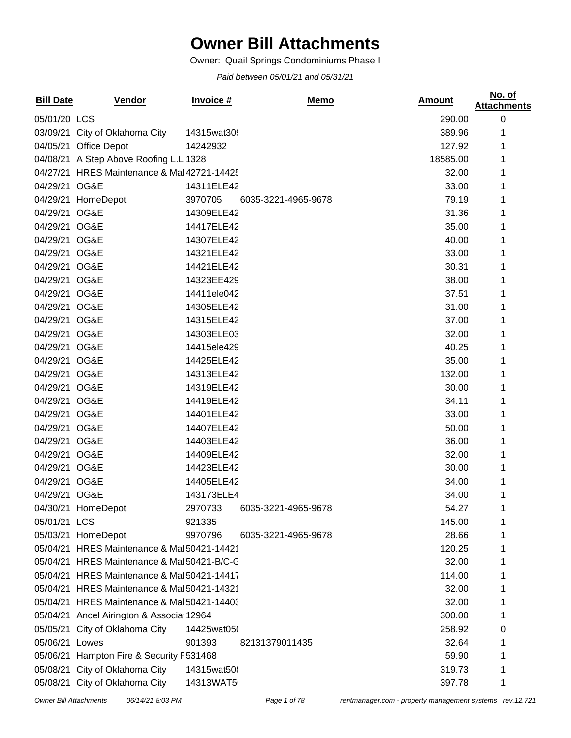## **Owner Bill Attachments**

Owner: Quail Springs Condominiums Phase I

*Paid between 05/01/21 and 05/31/21*

| <b>Bill Date</b> | <b>Vendor</b>                              | Invoice #   | <u>Memo</u>         | <u>Amount</u> | No. of<br><b>Attachments</b> |
|------------------|--------------------------------------------|-------------|---------------------|---------------|------------------------------|
| 05/01/20 LCS     |                                            |             |                     | 290.00        | $\boldsymbol{0}$             |
|                  | 03/09/21 City of Oklahoma City             | 14315wat309 |                     | 389.96        |                              |
|                  | 04/05/21 Office Depot                      | 14242932    |                     | 127.92        |                              |
|                  | 04/08/21 A Step Above Roofing L.L 1328     |             |                     | 18585.00      | 1                            |
|                  | 04/27/21 HRES Maintenance & Mal42721-14425 |             |                     | 32.00         | 1                            |
| 04/29/21 OG&E    |                                            | 14311ELE42  |                     | 33.00         |                              |
|                  | 04/29/21 HomeDepot                         | 3970705     | 6035-3221-4965-9678 | 79.19         |                              |
| 04/29/21 OG&E    |                                            | 14309ELE42  |                     | 31.36         | 1                            |
| 04/29/21 OG&E    |                                            | 14417ELE42  |                     | 35.00         | 1                            |
| 04/29/21 OG&E    |                                            | 14307ELE42  |                     | 40.00         | 1                            |
| 04/29/21 OG&E    |                                            | 14321ELE42  |                     | 33.00         |                              |
| 04/29/21 OG&E    |                                            | 14421ELE42  |                     | 30.31         | 1                            |
| 04/29/21 OG&E    |                                            | 14323EE429  |                     | 38.00         | 1                            |
| 04/29/21 OG&E    |                                            | 14411ele042 |                     | 37.51         | 1                            |
| 04/29/21 OG&E    |                                            | 14305ELE42  |                     | 31.00         | 1                            |
| 04/29/21 OG&E    |                                            | 14315ELE42  |                     | 37.00         | 1                            |
| 04/29/21 OG&E    |                                            | 14303ELE03  |                     | 32.00         |                              |
| 04/29/21 OG&E    |                                            | 14415ele429 |                     | 40.25         |                              |
| 04/29/21 OG&E    |                                            | 14425ELE42  |                     | 35.00         | 1                            |
| 04/29/21 OG&E    |                                            | 14313ELE42  |                     | 132.00        | 1                            |
| 04/29/21 OG&E    |                                            | 14319ELE42  |                     | 30.00         |                              |
| 04/29/21 OG&E    |                                            | 14419ELE42  |                     | 34.11         |                              |
| 04/29/21 OG&E    |                                            | 14401ELE42  |                     | 33.00         | 1                            |
| 04/29/21 OG&E    |                                            | 14407ELE42  |                     | 50.00         | 1                            |
| 04/29/21 OG&E    |                                            | 14403ELE42  |                     | 36.00         | 1                            |
| 04/29/21 OG&E    |                                            | 14409ELE42  |                     | 32.00         |                              |
| 04/29/21 OG&E    |                                            | 14423ELE42  |                     | 30.00         |                              |
| 04/29/21 OG&E    |                                            | 14405ELE42  |                     | 34.00         |                              |
| 04/29/21 OG&E    |                                            | 143173ELE4  |                     | 34.00         |                              |
|                  | 04/30/21 HomeDepot                         | 2970733     | 6035-3221-4965-9678 | 54.27         | 1                            |
| 05/01/21 LCS     |                                            | 921335      |                     | 145.00        |                              |
|                  | 05/03/21 HomeDepot                         | 9970796     | 6035-3221-4965-9678 | 28.66         |                              |
|                  | 05/04/21 HRES Maintenance & Mal50421-14421 |             |                     | 120.25        |                              |
|                  | 05/04/21 HRES Maintenance & Mal50421-B/C-C |             |                     | 32.00         |                              |
|                  | 05/04/21 HRES Maintenance & Mal50421-14417 |             |                     | 114.00        |                              |
|                  | 05/04/21 HRES Maintenance & Mal50421-14321 |             |                     | 32.00         |                              |
|                  | 05/04/21 HRES Maintenance & Mal50421-14403 |             |                     | 32.00         |                              |
|                  | 05/04/21 Ancel Airington & Associa 12964   |             |                     | 300.00        | 1                            |
|                  | 05/05/21 City of Oklahoma City             | 14425wat050 |                     | 258.92        | 0                            |
| 05/06/21 Lowes   |                                            | 901393      | 82131379011435      | 32.64         |                              |
|                  | 05/06/21 Hampton Fire & Security F531468   |             |                     | 59.90         |                              |
|                  | 05/08/21 City of Oklahoma City             | 14315wat508 |                     | 319.73        | 1                            |
|                  | 05/08/21 City of Oklahoma City             | 14313WAT5   |                     | 397.78        | 1                            |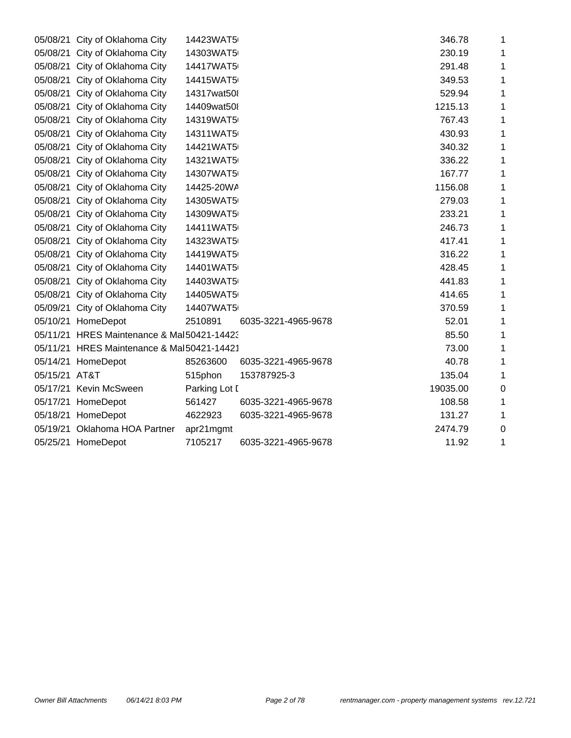| 05/08/21<br>City of Oklahoma City | 14423WAT5                                                                                                                                                                                                                                                                                                                                                                                                                                                                                                                                                                                                                                                                                                                                                                                                                                                                                                                 |                                                                  | 346.78                                                                                                                                                                                                                                                                                                                                                                                                                                                                                        | 1                                                                                                                                                                                                                                                                                    |
|-----------------------------------|---------------------------------------------------------------------------------------------------------------------------------------------------------------------------------------------------------------------------------------------------------------------------------------------------------------------------------------------------------------------------------------------------------------------------------------------------------------------------------------------------------------------------------------------------------------------------------------------------------------------------------------------------------------------------------------------------------------------------------------------------------------------------------------------------------------------------------------------------------------------------------------------------------------------------|------------------------------------------------------------------|-----------------------------------------------------------------------------------------------------------------------------------------------------------------------------------------------------------------------------------------------------------------------------------------------------------------------------------------------------------------------------------------------------------------------------------------------------------------------------------------------|--------------------------------------------------------------------------------------------------------------------------------------------------------------------------------------------------------------------------------------------------------------------------------------|
|                                   |                                                                                                                                                                                                                                                                                                                                                                                                                                                                                                                                                                                                                                                                                                                                                                                                                                                                                                                           |                                                                  |                                                                                                                                                                                                                                                                                                                                                                                                                                                                                               | 1                                                                                                                                                                                                                                                                                    |
|                                   |                                                                                                                                                                                                                                                                                                                                                                                                                                                                                                                                                                                                                                                                                                                                                                                                                                                                                                                           |                                                                  |                                                                                                                                                                                                                                                                                                                                                                                                                                                                                               | 1                                                                                                                                                                                                                                                                                    |
|                                   |                                                                                                                                                                                                                                                                                                                                                                                                                                                                                                                                                                                                                                                                                                                                                                                                                                                                                                                           |                                                                  |                                                                                                                                                                                                                                                                                                                                                                                                                                                                                               | 1                                                                                                                                                                                                                                                                                    |
|                                   |                                                                                                                                                                                                                                                                                                                                                                                                                                                                                                                                                                                                                                                                                                                                                                                                                                                                                                                           |                                                                  |                                                                                                                                                                                                                                                                                                                                                                                                                                                                                               | 1                                                                                                                                                                                                                                                                                    |
|                                   |                                                                                                                                                                                                                                                                                                                                                                                                                                                                                                                                                                                                                                                                                                                                                                                                                                                                                                                           |                                                                  |                                                                                                                                                                                                                                                                                                                                                                                                                                                                                               | 1                                                                                                                                                                                                                                                                                    |
|                                   |                                                                                                                                                                                                                                                                                                                                                                                                                                                                                                                                                                                                                                                                                                                                                                                                                                                                                                                           |                                                                  |                                                                                                                                                                                                                                                                                                                                                                                                                                                                                               | 1                                                                                                                                                                                                                                                                                    |
|                                   |                                                                                                                                                                                                                                                                                                                                                                                                                                                                                                                                                                                                                                                                                                                                                                                                                                                                                                                           |                                                                  |                                                                                                                                                                                                                                                                                                                                                                                                                                                                                               | 1                                                                                                                                                                                                                                                                                    |
|                                   |                                                                                                                                                                                                                                                                                                                                                                                                                                                                                                                                                                                                                                                                                                                                                                                                                                                                                                                           |                                                                  |                                                                                                                                                                                                                                                                                                                                                                                                                                                                                               | 1                                                                                                                                                                                                                                                                                    |
|                                   |                                                                                                                                                                                                                                                                                                                                                                                                                                                                                                                                                                                                                                                                                                                                                                                                                                                                                                                           |                                                                  |                                                                                                                                                                                                                                                                                                                                                                                                                                                                                               | 1                                                                                                                                                                                                                                                                                    |
|                                   |                                                                                                                                                                                                                                                                                                                                                                                                                                                                                                                                                                                                                                                                                                                                                                                                                                                                                                                           |                                                                  |                                                                                                                                                                                                                                                                                                                                                                                                                                                                                               | 1                                                                                                                                                                                                                                                                                    |
|                                   |                                                                                                                                                                                                                                                                                                                                                                                                                                                                                                                                                                                                                                                                                                                                                                                                                                                                                                                           |                                                                  |                                                                                                                                                                                                                                                                                                                                                                                                                                                                                               | 1                                                                                                                                                                                                                                                                                    |
|                                   |                                                                                                                                                                                                                                                                                                                                                                                                                                                                                                                                                                                                                                                                                                                                                                                                                                                                                                                           |                                                                  |                                                                                                                                                                                                                                                                                                                                                                                                                                                                                               | 1                                                                                                                                                                                                                                                                                    |
|                                   |                                                                                                                                                                                                                                                                                                                                                                                                                                                                                                                                                                                                                                                                                                                                                                                                                                                                                                                           |                                                                  |                                                                                                                                                                                                                                                                                                                                                                                                                                                                                               | 1                                                                                                                                                                                                                                                                                    |
|                                   |                                                                                                                                                                                                                                                                                                                                                                                                                                                                                                                                                                                                                                                                                                                                                                                                                                                                                                                           |                                                                  |                                                                                                                                                                                                                                                                                                                                                                                                                                                                                               | 1                                                                                                                                                                                                                                                                                    |
|                                   |                                                                                                                                                                                                                                                                                                                                                                                                                                                                                                                                                                                                                                                                                                                                                                                                                                                                                                                           |                                                                  |                                                                                                                                                                                                                                                                                                                                                                                                                                                                                               | 1                                                                                                                                                                                                                                                                                    |
|                                   |                                                                                                                                                                                                                                                                                                                                                                                                                                                                                                                                                                                                                                                                                                                                                                                                                                                                                                                           |                                                                  |                                                                                                                                                                                                                                                                                                                                                                                                                                                                                               | 1                                                                                                                                                                                                                                                                                    |
|                                   |                                                                                                                                                                                                                                                                                                                                                                                                                                                                                                                                                                                                                                                                                                                                                                                                                                                                                                                           |                                                                  |                                                                                                                                                                                                                                                                                                                                                                                                                                                                                               | 1                                                                                                                                                                                                                                                                                    |
|                                   |                                                                                                                                                                                                                                                                                                                                                                                                                                                                                                                                                                                                                                                                                                                                                                                                                                                                                                                           |                                                                  |                                                                                                                                                                                                                                                                                                                                                                                                                                                                                               | 1                                                                                                                                                                                                                                                                                    |
|                                   |                                                                                                                                                                                                                                                                                                                                                                                                                                                                                                                                                                                                                                                                                                                                                                                                                                                                                                                           |                                                                  |                                                                                                                                                                                                                                                                                                                                                                                                                                                                                               | 1                                                                                                                                                                                                                                                                                    |
|                                   |                                                                                                                                                                                                                                                                                                                                                                                                                                                                                                                                                                                                                                                                                                                                                                                                                                                                                                                           |                                                                  |                                                                                                                                                                                                                                                                                                                                                                                                                                                                                               | 1                                                                                                                                                                                                                                                                                    |
|                                   |                                                                                                                                                                                                                                                                                                                                                                                                                                                                                                                                                                                                                                                                                                                                                                                                                                                                                                                           |                                                                  |                                                                                                                                                                                                                                                                                                                                                                                                                                                                                               | 1                                                                                                                                                                                                                                                                                    |
|                                   |                                                                                                                                                                                                                                                                                                                                                                                                                                                                                                                                                                                                                                                                                                                                                                                                                                                                                                                           |                                                                  |                                                                                                                                                                                                                                                                                                                                                                                                                                                                                               | 1                                                                                                                                                                                                                                                                                    |
|                                   |                                                                                                                                                                                                                                                                                                                                                                                                                                                                                                                                                                                                                                                                                                                                                                                                                                                                                                                           | 1                                                                |                                                                                                                                                                                                                                                                                                                                                                                                                                                                                               |                                                                                                                                                                                                                                                                                      |
|                                   |                                                                                                                                                                                                                                                                                                                                                                                                                                                                                                                                                                                                                                                                                                                                                                                                                                                                                                                           |                                                                  |                                                                                                                                                                                                                                                                                                                                                                                                                                                                                               | 1                                                                                                                                                                                                                                                                                    |
|                                   |                                                                                                                                                                                                                                                                                                                                                                                                                                                                                                                                                                                                                                                                                                                                                                                                                                                                                                                           |                                                                  |                                                                                                                                                                                                                                                                                                                                                                                                                                                                                               | 1                                                                                                                                                                                                                                                                                    |
|                                   |                                                                                                                                                                                                                                                                                                                                                                                                                                                                                                                                                                                                                                                                                                                                                                                                                                                                                                                           |                                                                  |                                                                                                                                                                                                                                                                                                                                                                                                                                                                                               | $\mathbf 0$                                                                                                                                                                                                                                                                          |
|                                   |                                                                                                                                                                                                                                                                                                                                                                                                                                                                                                                                                                                                                                                                                                                                                                                                                                                                                                                           |                                                                  |                                                                                                                                                                                                                                                                                                                                                                                                                                                                                               | 1                                                                                                                                                                                                                                                                                    |
|                                   |                                                                                                                                                                                                                                                                                                                                                                                                                                                                                                                                                                                                                                                                                                                                                                                                                                                                                                                           |                                                                  |                                                                                                                                                                                                                                                                                                                                                                                                                                                                                               | 1                                                                                                                                                                                                                                                                                    |
|                                   |                                                                                                                                                                                                                                                                                                                                                                                                                                                                                                                                                                                                                                                                                                                                                                                                                                                                                                                           |                                                                  | 2474.79                                                                                                                                                                                                                                                                                                                                                                                                                                                                                       | $\mathbf 0$                                                                                                                                                                                                                                                                          |
|                                   | 7105217                                                                                                                                                                                                                                                                                                                                                                                                                                                                                                                                                                                                                                                                                                                                                                                                                                                                                                                   | 6035-3221-4965-9678                                              | 11.92                                                                                                                                                                                                                                                                                                                                                                                                                                                                                         | 1                                                                                                                                                                                                                                                                                    |
|                                   | 05/08/21 City of Oklahoma City<br>05/08/21<br>City of Oklahoma City<br>05/08/21 City of Oklahoma City<br>City of Oklahoma City<br>05/08/21<br>City of Oklahoma City<br>05/08/21<br>05/08/21 City of Oklahoma City<br>City of Oklahoma City<br>05/08/21<br>05/08/21<br>City of Oklahoma City<br>City of Oklahoma City<br>05/08/21<br>City of Oklahoma City<br>05/08/21<br>05/08/21 City of Oklahoma City<br>City of Oklahoma City<br>05/08/21<br>05/08/21 City of Oklahoma City<br>05/08/21<br>City of Oklahoma City<br>05/08/21 City of Oklahoma City<br>05/08/21 City of Oklahoma City<br>05/08/21 City of Oklahoma City<br>05/08/21 City of Oklahoma City<br>05/08/21 City of Oklahoma City<br>05/09/21 City of Oklahoma City<br>05/10/21 HomeDepot<br>05/14/21 HomeDepot<br>05/15/21 AT&T<br>05/17/21 Kevin McSween<br>05/17/21 HomeDepot<br>05/18/21 HomeDepot<br>05/19/21 Oklahoma HOA Partner<br>05/25/21 HomeDepot | 2510891<br>85263600<br>515phon<br>561427<br>4622923<br>apr21mgmt | 14303WAT5<br>14417WAT5<br>14415WAT5<br>14317wat508<br>14409wat508<br>14319WAT5<br>14311WAT5<br>14421WAT5<br>14321WAT5<br>14307WAT5<br>14425-20WA<br>14305WAT5<br>14309WAT5<br>14411WAT5<br>14323WAT5<br>14419WAT5<br>14401WAT5<br>14403WAT5<br>14405WAT5<br>14407WAT5<br>6035-3221-4965-9678<br>05/11/21 HRES Maintenance & Mal50421-14423<br>05/11/21 HRES Maintenance & Mal50421-14421<br>6035-3221-4965-9678<br>153787925-3<br>Parking Lot I<br>6035-3221-4965-9678<br>6035-3221-4965-9678 | 230.19<br>291.48<br>349.53<br>529.94<br>1215.13<br>767.43<br>430.93<br>340.32<br>336.22<br>167.77<br>1156.08<br>279.03<br>233.21<br>246.73<br>417.41<br>316.22<br>428.45<br>441.83<br>414.65<br>370.59<br>52.01<br>85.50<br>73.00<br>40.78<br>135.04<br>19035.00<br>108.58<br>131.27 |